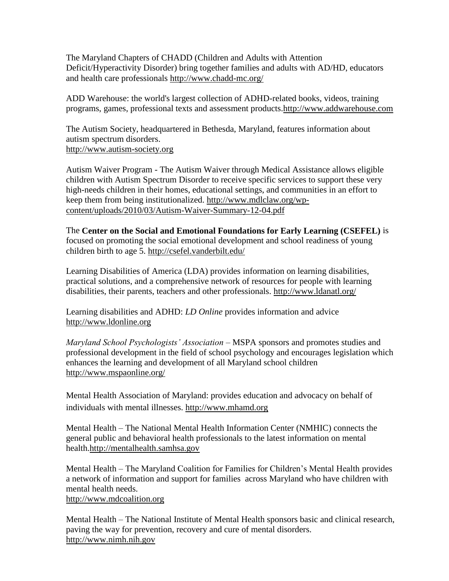The Maryland Chapters of CHADD (Children and Adults with Attention Deficit/Hyperactivity Disorder) bring together families and adults with AD/HD, educators and health care professionals<http://www.chadd-mc.org/>

ADD Warehouse: the world's largest collection of ADHD-related books, videos, training programs, games, professional texts and assessment products[.http://www.addwarehouse.com](http://www.addwarehouse.com/shopsite_sc/store/html/aboutus.html)

The Autism Society, headquartered in Bethesda, Maryland, features information about autism spectrum disorders. [http://www.autism-society.org](http://www.autism-society.org/)

Autism Waiver Program - The Autism Waiver through Medical Assistance allows eligible children with Autism Spectrum Disorder to receive specific services to support these very high-needs children in their homes, educational settings, and communities in an effort to keep them from being institutionalized. [http://www.mdlclaw.org/wp](http://www.mdlclaw.org/wp-content/uploads/2010/03/Autism-Waiver-Summary-12-04.pdf)[content/uploads/2010/03/Autism-Waiver-Summary-12-04.pdf](http://www.mdlclaw.org/wp-content/uploads/2010/03/Autism-Waiver-Summary-12-04.pdf)

The **Center on the Social and Emotional Foundations for Early Learning (CSEFEL)** is focused on promoting the social emotional development and school readiness of young children birth to age 5.<http://csefel.vanderbilt.edu/>

Learning Disabilities of America (LDA) provides information on learning disabilities, practical solutions, and a comprehensive network of resources for people with learning disabilities, their parents, teachers and other professionals.<http://www.ldanatl.org/>

Learning disabilities and ADHD: *LD Online* provides information and advice [http://www.ldonline.org](http://www.ldonline.org/)

*Maryland School Psychologists' Association* – MSPA sponsors and promotes studies and professional development in the field of school psychology and encourages legislation which enhances the learning and development of all Maryland school children <http://www.mspaonline.org/>

Mental Health Association of Maryland: provides education and advocacy on behalf of individuals with mental illnesses. http://www.mhamd.org

Mental Health – The National Mental Health Information Center (NMHIC) connects the general public and behavioral health professionals to the latest information on mental health[.http://mentalhealth.samhsa.gov](http://mentalhealth.samhsa.gov/)

Mental Health – The Maryland Coalition for Families for Children's Mental Health provides a network of information and support for families across Maryland who have children with mental health needs.

[http://www.mdcoalition.org](http://www.mdcoalition.org/)

Mental Health – The National Institute of Mental Health sponsors basic and clinical research, paving the way for prevention, recovery and cure of mental disorders. [http://www.nimh.nih.gov](http://www.nimh.nih.gov/)